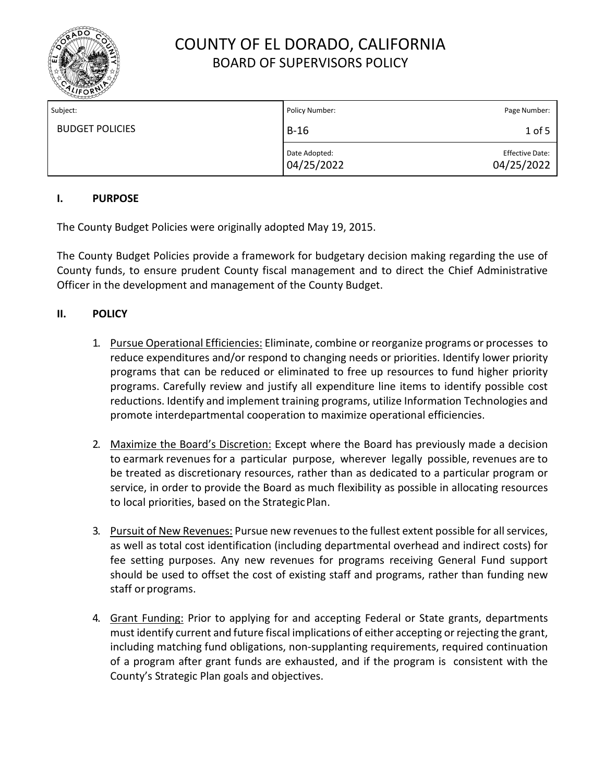

| Subject:               | Policy Number:              | Page Number:                         |
|------------------------|-----------------------------|--------------------------------------|
| <b>BUDGET POLICIES</b> | $B-16$                      | $1$ of 5                             |
|                        | Date Adopted:<br>04/25/2022 | <b>Effective Date:</b><br>04/25/2022 |

### **I. PURPOSE**

The County Budget Policies were originally adopted May 19, 2015.

The County Budget Policies provide a framework for budgetary decision making regarding the use of County funds, to ensure prudent County fiscal management and to direct the Chief Administrative Officer in the development and management of the County Budget.

### **II. POLICY**

- 1. Pursue Operational Efficiencies: Eliminate, combine or reorganize programs or processes to reduce expenditures and/or respond to changing needs or priorities. Identify lower priority programs that can be reduced or eliminated to free up resources to fund higher priority programs. Carefully review and justify all expenditure line items to identify possible cost reductions. Identify and implement training programs, utilize Information Technologies and promote interdepartmental cooperation to maximize operational efficiencies.
- 2. Maximize the Board's Discretion: Except where the Board has previously made a decision to earmark revenues for a particular purpose, wherever legally possible, revenues are to be treated as discretionary resources, rather than as dedicated to a particular program or service, in order to provide the Board as much flexibility as possible in allocating resources to local priorities, based on the StrategicPlan.
- 3. Pursuit of New Revenues: Pursue new revenues to the fullest extent possible for all services, as well as total cost identification (including departmental overhead and indirect costs) for fee setting purposes. Any new revenues for programs receiving General Fund support should be used to offset the cost of existing staff and programs, rather than funding new staff or programs.
- 4. Grant Funding: Prior to applying for and accepting Federal or State grants, departments must identify current and future fiscal implications of either accepting or rejecting the grant, including matching fund obligations, non-supplanting requirements, required continuation of a program after grant funds are exhausted, and if the program is consistent with the County's Strategic Plan goals and objectives.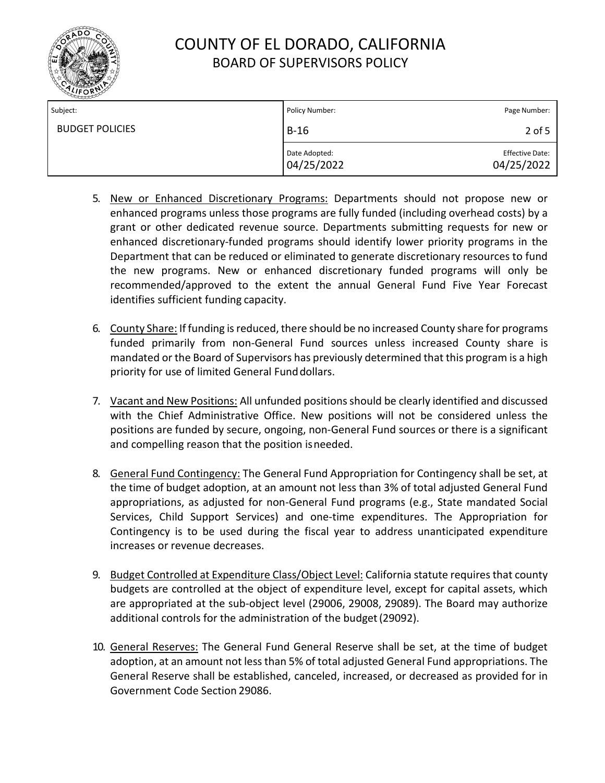

| Subject:               | Policy Number:              | Page Number:                         |
|------------------------|-----------------------------|--------------------------------------|
| <b>BUDGET POLICIES</b> | $B-16$                      | 2 of 5                               |
|                        | Date Adopted:<br>04/25/2022 | <b>Effective Date:</b><br>04/25/2022 |

- 5. New or Enhanced Discretionary Programs: Departments should not propose new or enhanced programs unless those programs are fully funded (including overhead costs) by a grant or other dedicated revenue source. Departments submitting requests for new or enhanced discretionary-funded programs should identify lower priority programs in the Department that can be reduced or eliminated to generate discretionary resources to fund the new programs. New or enhanced discretionary funded programs will only be recommended/approved to the extent the annual General Fund Five Year Forecast identifies sufficient funding capacity.
- 6. County Share: If funding is reduced, there should be no increased County share for programs funded primarily from non-General Fund sources unless increased County share is mandated or the Board of Supervisors has previously determined that this program is a high priority for use of limited General Fund dollars.
- 7. Vacant and New Positions: All unfunded positions should be clearly identified and discussed with the Chief Administrative Office. New positions will not be considered unless the positions are funded by secure, ongoing, non-General Fund sources or there is a significant and compelling reason that the position isneeded.
- 8. General Fund Contingency: The General Fund Appropriation for Contingency shall be set, at the time of budget adoption, at an amount not less than 3% of total adjusted General Fund appropriations, as adjusted for non-General Fund programs (e.g., State mandated Social Services, Child Support Services) and one-time expenditures. The Appropriation for Contingency is to be used during the fiscal year to address unanticipated expenditure increases or revenue decreases.
- 9. Budget Controlled at Expenditure Class/Object Level: California statute requires that county budgets are controlled at the object of expenditure level, except for capital assets, which are appropriated at the sub-object level (29006, 29008, 29089). The Board may authorize additional controls for the administration of the budget(29092).
- 10. General Reserves: The General Fund General Reserve shall be set, at the time of budget adoption, at an amount not less than 5% of total adjusted General Fund appropriations. The General Reserve shall be established, canceled, increased, or decreased as provided for in Government Code Section 29086.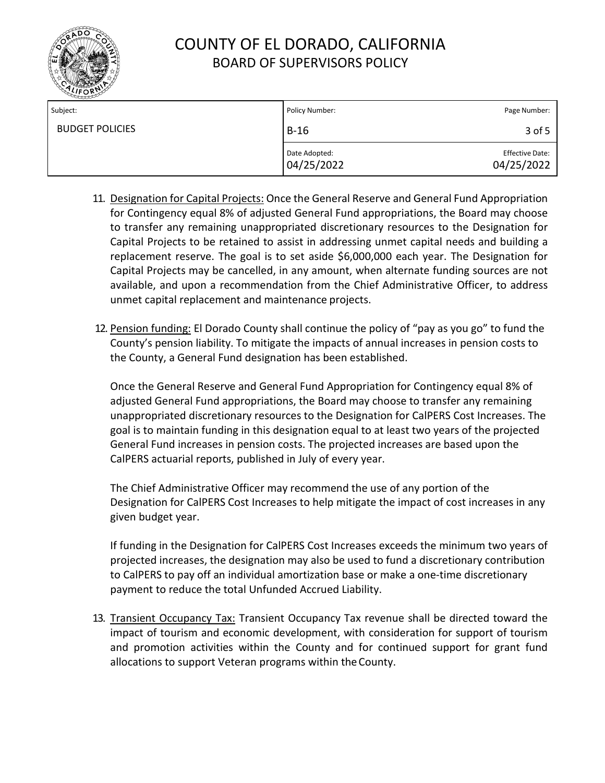

| Subject:               | Policy Number:              | Page Number:                         |
|------------------------|-----------------------------|--------------------------------------|
| <b>BUDGET POLICIES</b> | $B-16$                      | 3 of 5                               |
|                        | Date Adopted:<br>04/25/2022 | <b>Effective Date:</b><br>04/25/2022 |

- 11. Designation for Capital Projects: Once the General Reserve and General Fund Appropriation for Contingency equal 8% of adjusted General Fund appropriations, the Board may choose to transfer any remaining unappropriated discretionary resources to the Designation for Capital Projects to be retained to assist in addressing unmet capital needs and building a replacement reserve. The goal is to set aside \$6,000,000 each year. The Designation for Capital Projects may be cancelled, in any amount, when alternate funding sources are not available, and upon a recommendation from the Chief Administrative Officer, to address unmet capital replacement and maintenance projects.
- 12. Pension funding: El Dorado County shall continue the policy of "pay as you go" to fund the County's pension liability. To mitigate the impacts of annual increases in pension costs to the County, a General Fund designation has been established.

Once the General Reserve and General Fund Appropriation for Contingency equal 8% of adjusted General Fund appropriations, the Board may choose to transfer any remaining unappropriated discretionary resources to the Designation for CalPERS Cost Increases. The goal is to maintain funding in this designation equal to at least two years of the projected General Fund increases in pension costs. The projected increases are based upon the CalPERS actuarial reports, published in July of every year.

The Chief Administrative Officer may recommend the use of any portion of the Designation for CalPERS Cost Increases to help mitigate the impact of cost increases in any given budget year.

If funding in the Designation for CalPERS Cost Increases exceeds the minimum two years of projected increases, the designation may also be used to fund a discretionary contribution to CalPERS to pay off an individual amortization base or make a one-time discretionary payment to reduce the total Unfunded Accrued Liability.

13. Transient Occupancy Tax: Transient Occupancy Tax revenue shall be directed toward the impact of tourism and economic development, with consideration for support of tourism and promotion activities within the County and for continued support for grant fund allocations to support Veteran programs within theCounty.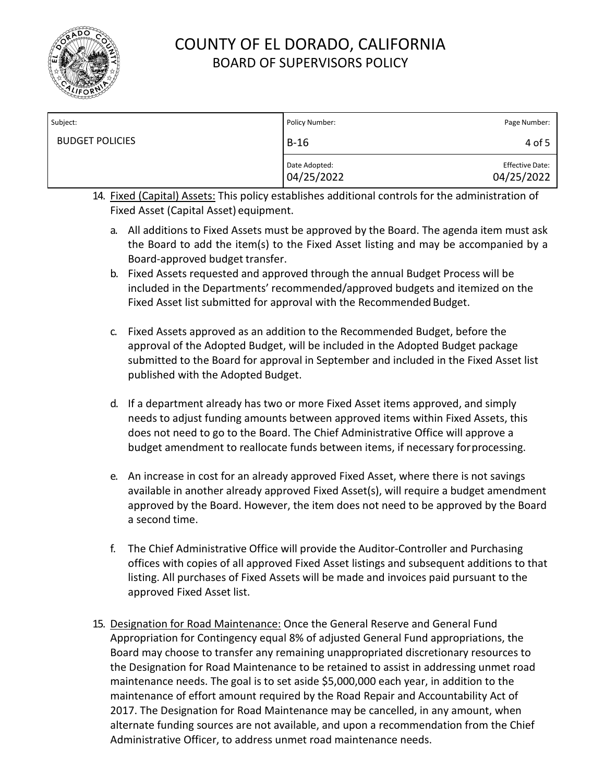

| Subject:               | Policy Number:              | Page Number:                         |
|------------------------|-----------------------------|--------------------------------------|
| <b>BUDGET POLICIES</b> | $B-16$                      | 4 of 5                               |
|                        | Date Adopted:<br>04/25/2022 | <b>Effective Date:</b><br>04/25/2022 |

- 14. Fixed (Capital) Assets: This policy establishes additional controls for the administration of Fixed Asset (Capital Asset) equipment.
	- a. All additions to Fixed Assets must be approved by the Board. The agenda item must ask the Board to add the item(s) to the Fixed Asset listing and may be accompanied by a Board-approved budget transfer.
	- b. Fixed Assets requested and approved through the annual Budget Process will be included in the Departments' recommended/approved budgets and itemized on the Fixed Asset list submitted for approval with the Recommended Budget.
	- c. Fixed Assets approved as an addition to the Recommended Budget, before the approval of the Adopted Budget, will be included in the Adopted Budget package submitted to the Board for approval in September and included in the Fixed Asset list published with the Adopted Budget.
	- d. If a department already has two or more Fixed Asset items approved, and simply needs to adjust funding amounts between approved items within Fixed Assets, this does not need to go to the Board. The Chief Administrative Office will approve a budget amendment to reallocate funds between items, if necessary forprocessing.
	- e. An increase in cost for an already approved Fixed Asset, where there is not savings available in another already approved Fixed Asset(s), will require a budget amendment approved by the Board. However, the item does not need to be approved by the Board a second time.
	- f. The Chief Administrative Office will provide the Auditor-Controller and Purchasing offices with copies of all approved Fixed Asset listings and subsequent additions to that listing. All purchases of Fixed Assets will be made and invoices paid pursuant to the approved Fixed Asset list.
- 15. Designation for Road Maintenance: Once the General Reserve and General Fund Appropriation for Contingency equal 8% of adjusted General Fund appropriations, the Board may choose to transfer any remaining unappropriated discretionary resources to the Designation for Road Maintenance to be retained to assist in addressing unmet road maintenance needs. The goal is to set aside \$5,000,000 each year, in addition to the maintenance of effort amount required by the Road Repair and Accountability Act of 2017. The Designation for Road Maintenance may be cancelled, in any amount, when alternate funding sources are not available, and upon a recommendation from the Chief Administrative Officer, to address unmet road maintenance needs.